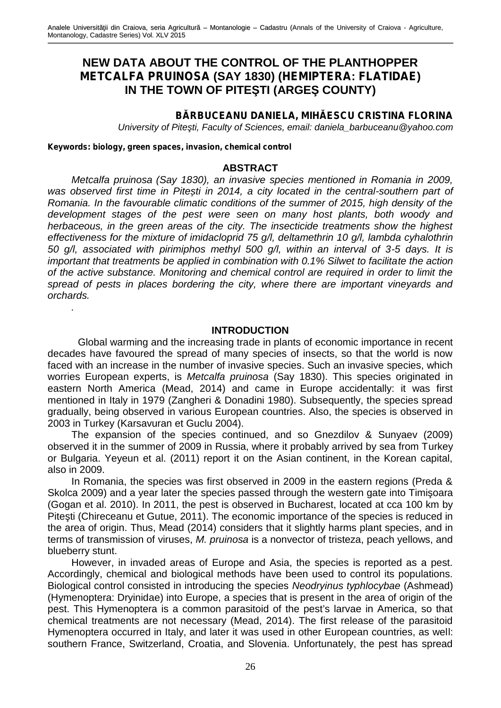# **NEW DATA ABOUT THE CONTROL OF THE PLANTHOPPER** *METCALFA PRUINOSA* **(SAY 1830) (***HEMIPTERA***:** *FLATIDAE***) IN THE TOWN OF PITE TI (ARGE COUNTY)**

## **B RBUCEANU DANIELA, MIH ESCU CRISTINA FLORINA**

*University of Pite ti, Faculty of Sciences, email: daniela barbuceanu@yahoo.com* 

*Keywords: biology, green spaces, invasion, chemical control*

*.*

#### **ABSTRACT**

*Metcalfa pruinosa (Say 1830), an invasive species mentioned in Romania in 2009,* was observed first time in Pite ti in 2014, a city located in the central-southern part of *Romania. In the favourable climatic conditions of the summer of 2015, high density of the development stages of the pest were seen on many host plants, both woody and herbaceous, in the green areas of the city. The insecticide treatments show the highest effectiveness for the mixture of imidacloprid 75 g/l, deltamethrin 10 g/l, lambda cyhalothrin 50 g/l, associated with pirimiphos methyl 500 g/l, within an interval of 3-5 days. It is important that treatments be applied in combination with 0.1% Silwet to facilitate the action of the active substance. Monitoring and chemical control are required in order to limit the spread of pests in places bordering the city, where there are important vineyards and orchards.*

#### **INTRODUCTION**

Global warming and the increasing trade in plants of economic importance in recent decades have favoured the spread of many species of insects, so that the world is now faced with an increase in the number of invasive species. Such an invasive species, which worries European experts, is *Metcalfa pruinosa* (Say 1830). This species originated in eastern North America (Mead, 2014) and came in Europe accidentally: it was first mentioned in Italy in 1979 (Zangheri & Donadini 1980). Subsequently, the species spread gradually, being observed in various European countries. Also, the species is observed in 2003 in Turkey (Karsavuran et Guclu 2004).

The expansion of the species continued, and so Gnezdilov & Sunyaev (2009) observed it in the summer of 2009 in Russia, where it probably arrived by sea from Turkey or Bulgaria. Yeyeun et al. (2011) report it on the Asian continent, in the Korean capital, also in 2009.

In Romania, the species was first observed in 2009 in the eastern regions (Preda & Skolca 2009) and a year later the species passed through the western gate into Timi oara (Gogan et al. 2010). In 2011, the pest is observed in Bucharest, located at cca 100 km by Pite ti (Chireceanu et Gutue, 2011). The economic importance of the species is reduced in the area of origin. Thus, Mead (2014) considers that it slightly harms plant species, and in terms of transmission of viruses, *M. pruinosa* is a nonvector of tristeza, peach yellows, and blueberry stunt.

However, in invaded areas of Europe and Asia, the species is reported as a pest. Accordingly, chemical and biological methods have been used to control its populations. Biological control consisted in introducing the species *Neodryinus typhlocybae* (Ashmead) (Hymenoptera: Dryinidae) into Europe, a species that is present in the area of origin of the pest. This Hymenoptera is a common parasitoid of the pest's larvae in America, so that chemical treatments are not necessary (Mead, 2014). The first release of the parasitoid Hymenoptera occurred in Italy, and later it was used in other European countries, as well: southern France, Switzerland, Croatia, and Slovenia. Unfortunately, the pest has spread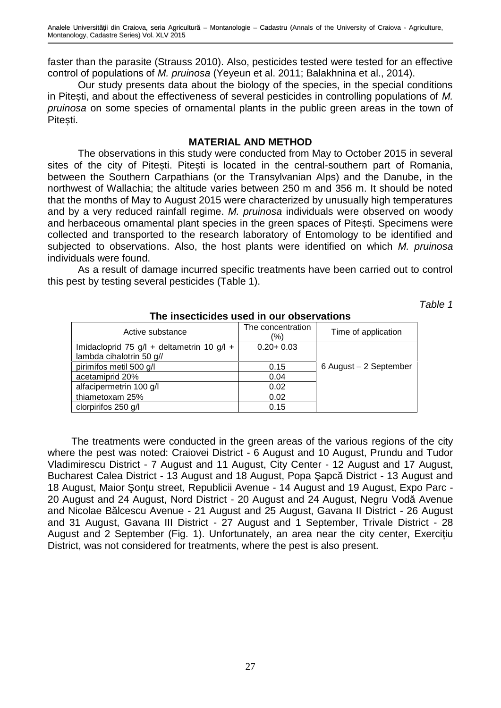faster than the parasite (Strauss 2010). Also, pesticides tested were tested for an effective control of populations of *M. pruinosa* (Yeyeun et al. 2011; Balakhnina et al., 2014).

Our study presents data about the biology of the species, in the special conditions in Pite ti, and about the effectiveness of several pesticides in controlling populations of M. *pruinosa* on some species of ornamental plants in the public green areas in the town of Pite ti.

### **MATERIAL AND METHOD**

The observations in this study were conducted from May to October 2015 in several sites of the city of Pite ti. Pite ti is located in the central-southern part of Romania, between the Southern Carpathians (or the Transylvanian Alps) and the Danube, in the northwest of Wallachia; the altitude varies between 250 m and 356 m. It should be noted that the months of May to August 2015 were characterized by unusually high temperatures and by a very reduced rainfall regime. *M. pruinosa* individuals were observed on woody and herbaceous ornamental plant species in the green spaces of Pite ti. Specimens were collected and transported to the research laboratory of Entomology to be identified and subjected to observations. Also, the host plants were identified on which *M. pruinosa* individuals were found.

As a result of damage incurred specific treatments have been carried out to control this pest by testing several pesticides (Table 1).

*Table 1*

| Active substance                           | The concentration<br>(%) | Time of application    |
|--------------------------------------------|--------------------------|------------------------|
| Imidacloprid 75 g/l + deltametrin 10 g/l + | $0.20 + 0.03$            |                        |
| lambda cihalotrin 50 g//                   |                          |                        |
| pirimifos metil 500 g/l                    | 0.15                     | 6 August - 2 September |
| acetamiprid 20%                            | 0.04                     |                        |
| alfacipermetrin 100 g/l                    | 0.02                     |                        |
| thiametoxam 25%                            | 0.02                     |                        |
| clorpirifos 250 g/l                        | 0.15                     |                        |

#### **The insecticides used in our observations**

The treatments were conducted in the green areas of the various regions of the city where the pest was noted: Craiovei District - 6 August and 10 August, Prundu and Tudor Vladimirescu District - 7 August and 11 August, City Center - 12 August and 17 August, Bucharest Calea District - 13 August and 18 August, Popa apc District - 13 August and 18 August, Maior on u street, Republicii Avenue - 14 August and 19 August, Expo Parc -20 August and 24 August, Nord District - 20 August and 24 August, Negru Vod Avenue and Nicolae B Icescu Avenue - 21 August and 25 August, Gavana II District - 26 August and 31 August, Gavana III District - 27 August and 1 September, Trivale District - 28 August and 2 September (Fig. 1). Unfortunately, an area near the city center, Exercițiu District, was not considered for treatments, where the pest is also present.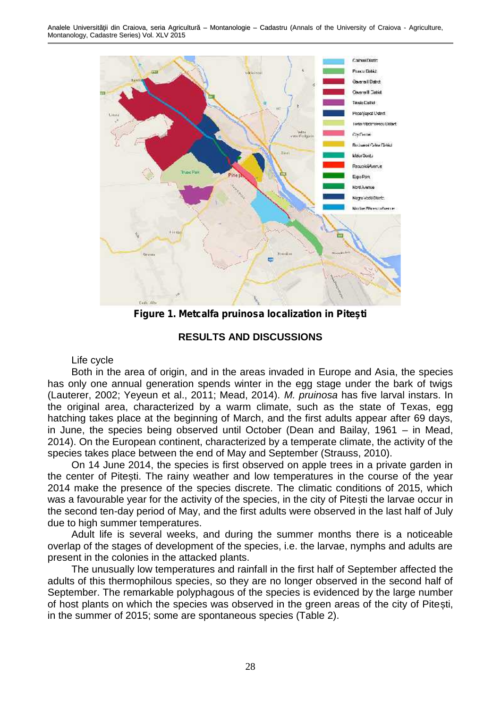

**Figure 1. Metcalfa pruinosa localization in Pite ti** 

**RESULTS AND DISCUSSIONS**

#### Life cycle

Both in the area of origin, and in the areas invaded in Europe and Asia, the species has only one annual generation spends winter in the egg stage under the bark of twigs (Lauterer, 2002; Yeyeun et al., 2011; Mead, 2014). *M. pruinosa* has five larval instars. In the original area, characterized by a warm climate, such as the state of Texas, egg hatching takes place at the beginning of March, and the first adults appear after 69 days, in June, the species being observed until October (Dean and Bailay, 1961 – in Mead, 2014). On the European continent, characterized by a temperate climate, the activity of the species takes place between the end of May and September (Strauss, 2010).

On 14 June 2014, the species is first observed on apple trees in a private garden in the center of Pite ti. The rainy weather and low temperatures in the course of the vear 2014 make the presence of the species discrete. The climatic conditions of 2015, which was a favourable year for the activity of the species, in the city of Pite ti the larvae occur in the second ten-day period of May, and the first adults were observed in the last half of July due to high summer temperatures.

Adult life is several weeks, and during the summer months there is a noticeable overlap of the stages of development of the species, i.e. the larvae, nymphs and adults are present in the colonies in the attacked plants.

The unusually low temperatures and rainfall in the first half of September affected the adults of this thermophilous species, so they are no longer observed in the second half of September. The remarkable polyphagous of the species is evidenced by the large number of host plants on which the species was observed in the green areas of the city of Pite ti, in the summer of 2015; some are spontaneous species (Table 2).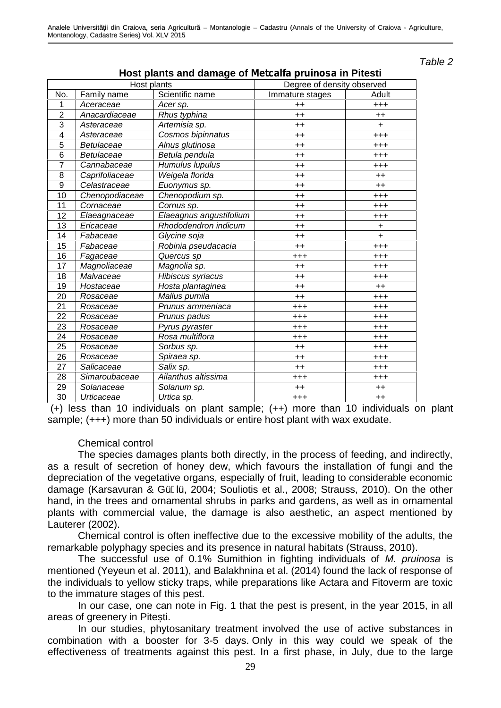*Table 2*

| <b>The Plants and dannage of motoan</b><br>Host plants |                |                         | a pramooa m room<br>Degree of density observed |           |  |
|--------------------------------------------------------|----------------|-------------------------|------------------------------------------------|-----------|--|
| No.                                                    | Family name    | Scientific name         | Immature stages                                | Adult     |  |
| 1                                                      | Aceraceae      | Acer sp.                | $++$                                           | $^{+++}$  |  |
| $\overline{2}$                                         | Anacardiaceae  | Rhus typhina            | $++$                                           | $++$      |  |
| 3                                                      | Asteraceae     | Artemisia sp.           | $++$                                           | $\ddot{}$ |  |
| 4                                                      | Asteraceae     | Cosmos bipinnatus       | $++$                                           | $^{+++}$  |  |
| 5                                                      | Betulaceae     | Alnus glutinosa         | $++$                                           | $^{+++}$  |  |
| 6                                                      | Betulaceae     | Betula pendula          | $++$                                           | $^{+++}$  |  |
| $\overline{7}$                                         | Cannabaceae    | Humulus lupulus         | $++$                                           | $^{+++}$  |  |
| 8                                                      | Caprifoliaceae | Weigela florida         | $++$                                           | $++$      |  |
| 9                                                      | Celastraceae   | Euonymus sp.            | $++$                                           | $++$      |  |
| 10                                                     | Chenopodiaceae | Chenopodium sp.         | $++$                                           | $^{+++}$  |  |
| 11                                                     | Cornaceae      | Cornus sp.              | $++$                                           | $^{+++}$  |  |
| 12                                                     | Elaeagnaceae   | Elaeagnus angustifolium | $^{++}$                                        | $^{+++}$  |  |
| 13                                                     | Ericaceae      | Rhododendron indicum    | $++$                                           | $\ddot{}$ |  |
| 14                                                     | Fabaceae       | Glycine soja            | $^{++}$                                        | $\ddot{}$ |  |
| 15                                                     | Fabaceae       | Robinia pseudacacia     | $^{++}$                                        | $^{+++}$  |  |
| 16                                                     | Fagaceae       | Quercus sp              | $^{+++}$                                       | $^{+++}$  |  |
| 17                                                     | Magnoliaceae   | Magnolia sp.            | $++$                                           | $^{+++}$  |  |
| 18                                                     | Malvaceae      | Hibiscus syriacus       | $^{++}$                                        | $^{+++}$  |  |
| 19                                                     | Hostaceae      | Hosta plantaginea       | $^{++}$                                        | $++$      |  |
| 20                                                     | Rosaceae       | Mallus pumila           | $^{++}$                                        | $^{+++}$  |  |
| 21                                                     | Rosaceae       | Prunus arnmeniaca       | $^{+++}$                                       | $^{+++}$  |  |
| 22                                                     | Rosaceae       | Prunus padus            | $^{+++}$                                       | $^{+++}$  |  |
| 23                                                     | Rosaceae       | Pyrus pyraster          | $^{+++}$                                       | $^{+++}$  |  |
| 24                                                     | Rosaceae       | Rosa multiflora         | $^{+++}$                                       | $^{+++}$  |  |
| 25                                                     | Rosaceae       | Sorbus sp.              | $^{++}$                                        | $^{+++}$  |  |
| 26                                                     | Rosaceae       | Spiraea sp.             | $^{++}$                                        | $^{+++}$  |  |
| 27                                                     | Salicaceae     | Salix sp.               | $++$                                           | $^{+++}$  |  |
| 28                                                     | Simaroubaceae  | Ailanthus altissima     | $^{+++}$                                       | $^{+++}$  |  |
| 29                                                     | Solanaceae     | Solanum sp.             | $++$                                           | $^{++}$   |  |
| 30                                                     | Urticaceae     | Urtica sp.              | $^{+++}$                                       | $++$      |  |

**Host plants and damage of** *Metcalfa pruinosa* **in Pitesti**

(+) less than 10 individuals on plant sample; (++) more than 10 individuals on plant sample; (+++) more than 50 individuals or entire host plant with wax exudate.

#### Chemical control

The species damages plants both directly, in the process of feeding, and indirectly, as a result of secretion of honey dew, which favours the installation of fungi and the depreciation of the vegetative organs, especially of fruit, leading to considerable economic damage (Karsavuran & Gü lü, 2004; Souliotis et al., 2008; Strauss, 2010). On the other hand, in the trees and ornamental shrubs in parks and gardens, as well as in ornamental plants with commercial value, the damage is also aesthetic, an aspect mentioned by Lauterer (2002).

Chemical control is often ineffective due to the excessive mobility of the adults, the remarkable polyphagy species and its presence in natural habitats (Strauss, 2010).

The successful use of 0.1% Sumithion in fighting individuals of *M. pruinosa* is mentioned (Yeyeun et al. 2011), and Balakhnina et al. (2014) found the lack of response of the individuals to yellow sticky traps, while preparations like Actara and Fitoverm are toxic to the immature stages of this pest.

In our case, one can note in Fig. 1 that the pest is present, in the year 2015, in all areas of greenery in Pite ti.

In our studies, phytosanitary treatment involved the use of active substances in combination with a booster for 3-5 days. Only in this way could we speak of the effectiveness of treatments against this pest. In a first phase, in July, due to the large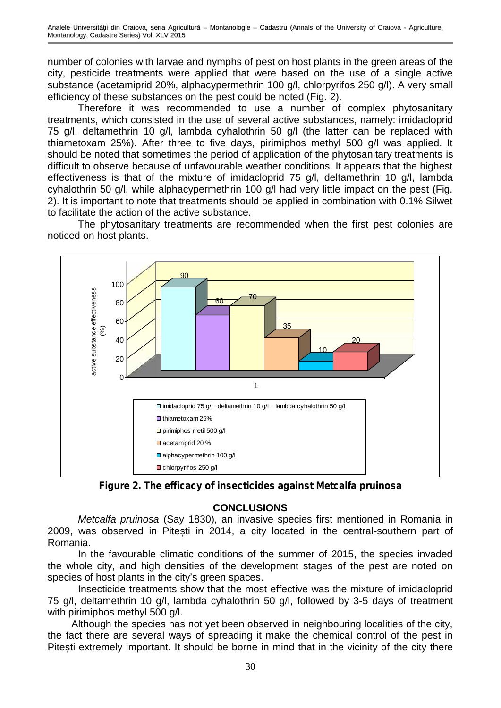number of colonies with larvae and nymphs of pest on host plants in the green areas of the city, pesticide treatments were applied that were based on the use of a single active substance (acetamiprid 20%, alphacypermethrin 100 g/l, chlorpyrifos 250 g/l). A very small efficiency of these substances on the pest could be noted (Fig. 2).

Therefore it was recommended to use a number of complex phytosanitary treatments, which consisted in the use of several active substances, namely: imidacloprid 75 g/l, deltamethrin 10 g/l, lambda cyhalothrin 50 g/l (the latter can be replaced with thiametoxam 25%). After three to five days, pirimiphos methyl 500 g/l was applied. It should be noted that sometimes the period of application of the phytosanitary treatments is difficult to observe because of unfavourable weather conditions. It appears that the highest effectiveness is that of the mixture of imidacloprid 75 g/l, deltamethrin 10 g/l, lambda cyhalothrin 50 g/l, while alphacypermethrin 100 g/l had very little impact on the pest (Fig. 2). It is important to note that treatments should be applied in combination with 0.1% Silwet to facilitate the action of the active substance.

The phytosanitary treatments are recommended when the first pest colonies are noticed on host plants.



*Figure 2. The efficacy of insecticides against Metcalfa pruinosa*

# **CONCLUSIONS**

*Metcalfa pruinosa* (Say 1830), an invasive species first mentioned in Romania in 2009, was observed in Pite ti in 2014, a city located in the central-southern part of Romania.

In the favourable climatic conditions of the summer of 2015, the species invaded the whole city, and high densities of the development stages of the pest are noted on species of host plants in the city's green spaces.

Insecticide treatments show that the most effective was the mixture of imidacloprid 75 g/l, deltamethrin 10 g/l, lambda cyhalothrin 50 g/l, followed by 3-5 days of treatment with pirimiphos methyl 500 g/l.

Although the species has not yet been observed in neighbouring localities of the city, the fact there are several ways of spreading it make the chemical control of the pest in Pite ti extremely important. It should be borne in mind that in the vicinity of the city there